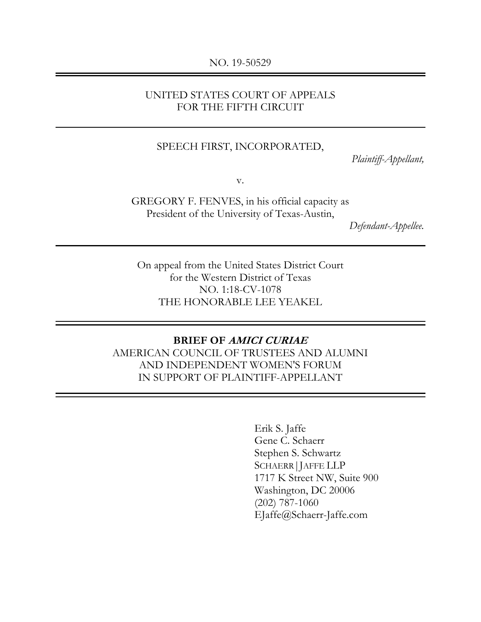#### NO. 19-50529

### UNITED STATES COURT OF APPEALS FOR THE FIFTH CIRCUIT

#### SPEECH FIRST, INCORPORATED,

*Plaintiff-Appellant,*

v.

GREGORY F. FENVES, in his official capacity as President of the University of Texas-Austin,

*Defendant-Appellee.* 

On appeal from the United States District Court for the Western District of Texas NO. 1:18-CV-1078 THE HONORABLE LEE YEAKEL

#### **BRIEF OF AMICI CURIAE**

AMERICAN COUNCIL OF TRUSTEES AND ALUMNI AND INDEPENDENT WOMEN'S FORUM IN SUPPORT OF PLAINTIFF-APPELLANT

> Erik S. Jaffe Gene C. Schaerr Stephen S. Schwartz SCHAERR|JAFFE LLP 1717 K Street NW, Suite 900 Washington, DC 20006 (202) 787-1060 EJaffe@Schaerr-Jaffe.com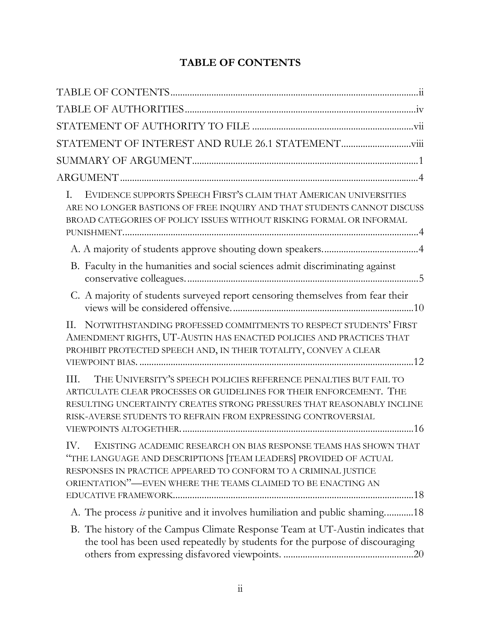# **TABLE OF CONTENTS**

| EVIDENCE SUPPORTS SPEECH FIRST'S CLAIM THAT AMERICAN UNIVERSITIES<br>L.<br>ARE NO LONGER BASTIONS OF FREE INQUIRY AND THAT STUDENTS CANNOT DISCUSS<br>BROAD CATEGORIES OF POLICY ISSUES WITHOUT RISKING FORMAL OR INFORMAL                                                                 |
|--------------------------------------------------------------------------------------------------------------------------------------------------------------------------------------------------------------------------------------------------------------------------------------------|
|                                                                                                                                                                                                                                                                                            |
| B. Faculty in the humanities and social sciences admit discriminating against                                                                                                                                                                                                              |
| C. A majority of students surveyed report censoring themselves from fear their                                                                                                                                                                                                             |
| II. NOTWITHSTANDING PROFESSED COMMITMENTS TO RESPECT STUDENTS' FIRST<br>AMENDMENT RIGHTS, UT-AUSTIN HAS ENACTED POLICIES AND PRACTICES THAT<br>PROHIBIT PROTECTED SPEECH AND, IN THEIR TOTALITY, CONVEY A CLEAR                                                                            |
| THE UNIVERSITY'S SPEECH POLICIES REFERENCE PENALTIES BUT FAIL TO<br>III.<br>ARTICULATE CLEAR PROCESSES OR GUIDELINES FOR THEIR ENFORCEMENT. THE<br>RESULTING UNCERTAINTY CREATES STRONG PRESSURES THAT REASONABLY INCLINE<br>RISK-AVERSE STUDENTS TO REFRAIN FROM EXPRESSING CONTROVERSIAL |
| IV.<br>EXISTING ACADEMIC RESEARCH ON BIAS RESPONSE TEAMS HAS SHOWN THAT<br>"THE LANGUAGE AND DESCRIPTIONS [TEAM LEADERS] PROVIDED OF ACTUAL<br>RESPONSES IN PRACTICE APPEARED TO CONFORM TO A CRIMINAL JUSTICE<br>ORIENTATION"—EVEN WHERE THE TEAMS CLAIMED TO BE ENACTING AN              |
| A. The process is punitive and it involves humiliation and public shaming18                                                                                                                                                                                                                |
| B. The history of the Campus Climate Response Team at UT-Austin indicates that<br>the tool has been used repeatedly by students for the purpose of discouraging                                                                                                                            |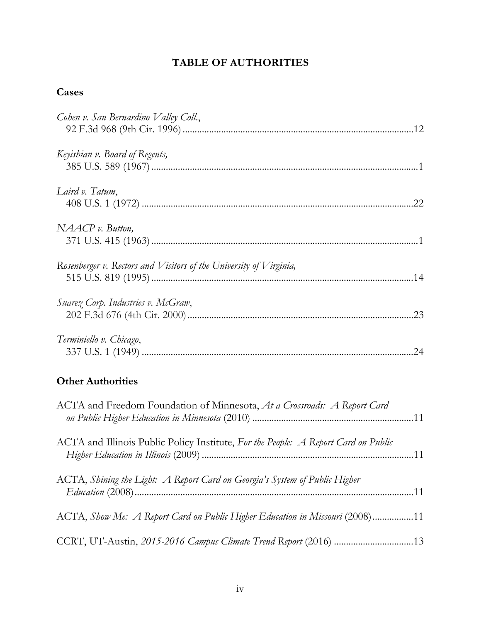# **TABLE OF AUTHORITIES**

# **Cases**

| Cohen v. San Bernardino Valley Coll.,                                              |
|------------------------------------------------------------------------------------|
| Keyishian v. Board of Regents,                                                     |
| Laird v. Tatum,                                                                    |
| NAACP v. Button,                                                                   |
| Rosenberger v. Rectors and Visitors of the University of Virginia,                 |
| Suarez Corp. Industries v. McGraw,                                                 |
| Terminiello v. Chicago,                                                            |
| <b>Other Authorities</b>                                                           |
| ACTA and Freedom Foundation of Minnesota, At a Crossroads: A Report Card           |
| ACTA and Illinois Public Policy Institute, For the People: A Report Card on Public |
| ACTA, Shining the Light: A Report Card on Georgia's System of Public Higher        |
| ACTA, Show Me: A Report Card on Public Higher Education in Missouri (2008) 11      |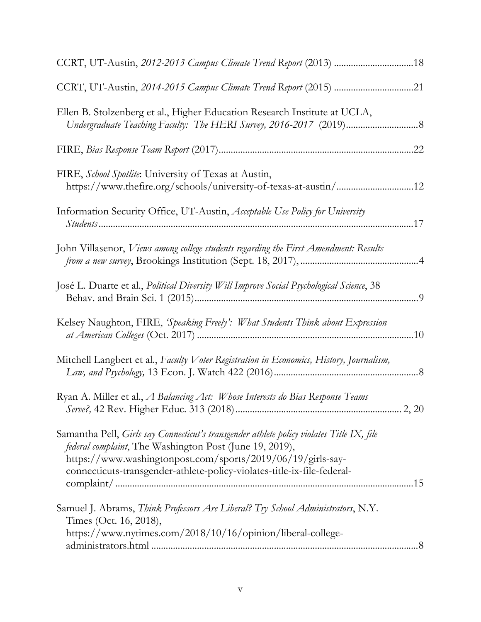| Ellen B. Stolzenberg et al., Higher Education Research Institute at UCLA,                                                                                                                                                                                                                              |
|--------------------------------------------------------------------------------------------------------------------------------------------------------------------------------------------------------------------------------------------------------------------------------------------------------|
|                                                                                                                                                                                                                                                                                                        |
| FIRE, School Spotlite: University of Texas at Austin,                                                                                                                                                                                                                                                  |
| Information Security Office, UT-Austin, Acceptable Use Policy for University                                                                                                                                                                                                                           |
| John Villasenor, Views among college students regarding the First Amendment: Results                                                                                                                                                                                                                   |
| José L. Duarte et al., Political Diversity Will Improve Social Psychological Science, 38                                                                                                                                                                                                               |
| Kelsey Naughton, FIRE, 'Speaking Freely': What Students Think about Expression                                                                                                                                                                                                                         |
| Mitchell Langbert et al., Faculty Voter Registration in Economics, History, Journalism,                                                                                                                                                                                                                |
| Ryan A. Miller et al., A Balancing Act: Whose Interests do Bias Response Teams                                                                                                                                                                                                                         |
| Samantha Pell, Girls say Connecticut's transgender athlete policy violates Title IX, file<br><i>federal complaint</i> , The Washington Post (June 19, 2019),<br>https://www.washingtonpost.com/sports/2019/06/19/girls-say-<br>connecticuts-transgender-athlete-policy-violates-title-ix-file-federal- |
| Samuel J. Abrams, Think Professors Are Liberal? Try School Administrators, N.Y.<br>Times (Oct. 16, 2018),<br>https://www.nytimes.com/2018/10/16/opinion/liberal-college-                                                                                                                               |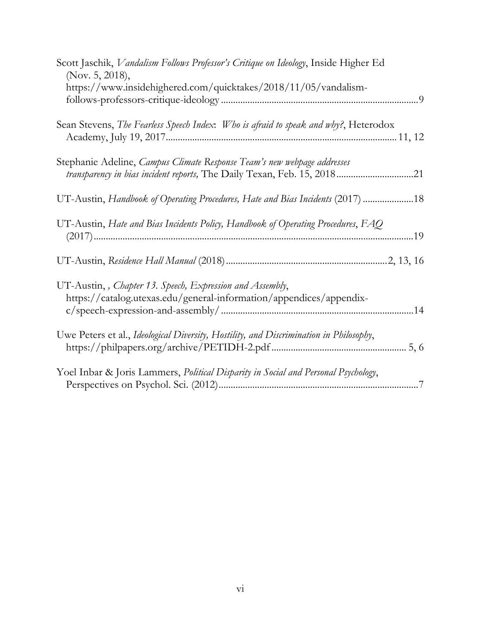| Scott Jaschik, Vandalism Follows Professor's Critique on Ideology, Inside Higher Ed<br>(Nov. 5, 2018),                                             |
|----------------------------------------------------------------------------------------------------------------------------------------------------|
| https://www.insidehighered.com/quicktakes/2018/11/05/vandalism-                                                                                    |
| Sean Stevens, The Fearless Speech Index: Who is afraid to speak and why?, Heterodox                                                                |
| Stephanie Adeline, Campus Climate Response Team's new webpage addresses<br>transparency in bias incident reports, The Daily Texan, Feb. 15, 201821 |
| UT-Austin, Handbook of Operating Procedures, Hate and Bias Incidents (2017) 18                                                                     |
| UT-Austin, Hate and Bias Incidents Policy, Handbook of Operating Procedures, $FAQ$                                                                 |
|                                                                                                                                                    |
| UT-Austin,, Chapter 13. Speech, Expression and Assembly,<br>https://catalog.utexas.edu/general-information/appendices/appendix-                    |
| Uwe Peters et al., Ideological Diversity, Hostility, and Discrimination in Philosophy,                                                             |
| Yoel Inbar & Joris Lammers, Political Disparity in Social and Personal Psychology,                                                                 |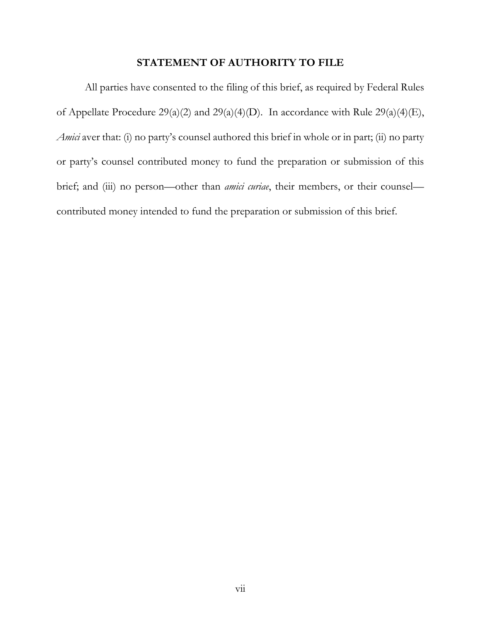#### **STATEMENT OF AUTHORITY TO FILE**

All parties have consented to the filing of this brief, as required by Federal Rules of Appellate Procedure 29(a)(2) and 29(a)(4)(D). In accordance with Rule 29(a)(4)(E), *Amici* aver that: (i) no party's counsel authored this brief in whole or in part; (ii) no party or party's counsel contributed money to fund the preparation or submission of this brief; and (iii) no person—other than *amici curiae*, their members, or their counsel contributed money intended to fund the preparation or submission of this brief.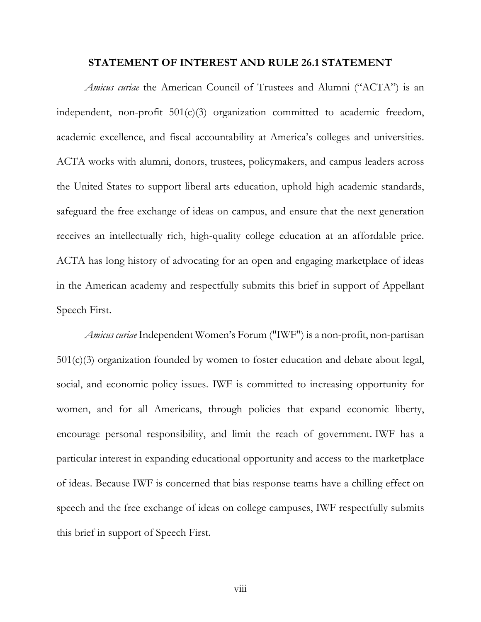#### **STATEMENT OF INTEREST AND RULE 26.1 STATEMENT**

*Amicus curiae* the American Council of Trustees and Alumni ("ACTA") is an independent, non-profit  $501(c)(3)$  organization committed to academic freedom, academic excellence, and fiscal accountability at America's colleges and universities. ACTA works with alumni, donors, trustees, policymakers, and campus leaders across the United States to support liberal arts education, uphold high academic standards, safeguard the free exchange of ideas on campus, and ensure that the next generation receives an intellectually rich, high-quality college education at an affordable price. ACTA has long history of advocating for an open and engaging marketplace of ideas in the American academy and respectfully submits this brief in support of Appellant Speech First.

*Amicus curiae* Independent Women's Forum ("IWF") is a non-profit, non-partisan 501(c)(3) organization founded by women to foster education and debate about legal, social, and economic policy issues. IWF is committed to increasing opportunity for women, and for all Americans, through policies that expand economic liberty, encourage personal responsibility, and limit the reach of government. IWF has a particular interest in expanding educational opportunity and access to the marketplace of ideas. Because IWF is concerned that bias response teams have a chilling effect on speech and the free exchange of ideas on college campuses, IWF respectfully submits this brief in support of Speech First.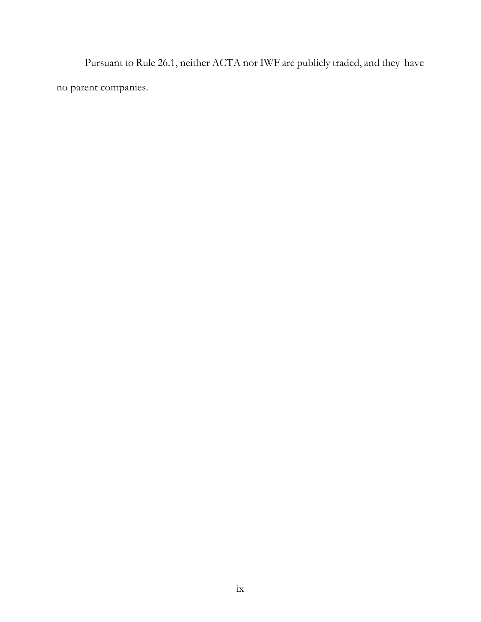Pursuant to Rule 26.1, neither ACTA nor IWF are publicly traded, and they have no parent companies.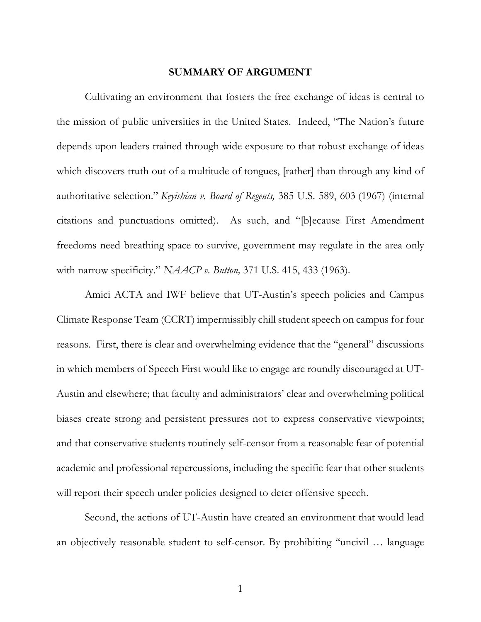#### **SUMMARY OF ARGUMENT**

Cultivating an environment that fosters the free exchange of ideas is central to the mission of public universities in the United States. Indeed, "The Nation's future depends upon leaders trained through wide exposure to that robust exchange of ideas which discovers truth out of a multitude of tongues, [rather] than through any kind of authoritative selection." *Keyishian v. Board of Regents,* 385 U.S. 589, 603 (1967) (internal citations and punctuations omitted). As such, and "[b]ecause First Amendment freedoms need breathing space to survive, government may regulate in the area only with narrow specificity." *NAACP v. Button,* 371 U.S. 415, 433 (1963).

Amici ACTA and IWF believe that UT-Austin's speech policies and Campus Climate Response Team (CCRT) impermissibly chill student speech on campus for four reasons. First, there is clear and overwhelming evidence that the "general" discussions in which members of Speech First would like to engage are roundly discouraged at UT-Austin and elsewhere; that faculty and administrators' clear and overwhelming political biases create strong and persistent pressures not to express conservative viewpoints; and that conservative students routinely self-censor from a reasonable fear of potential academic and professional repercussions, including the specific fear that other students will report their speech under policies designed to deter offensive speech.

Second, the actions of UT-Austin have created an environment that would lead an objectively reasonable student to self-censor. By prohibiting "uncivil … language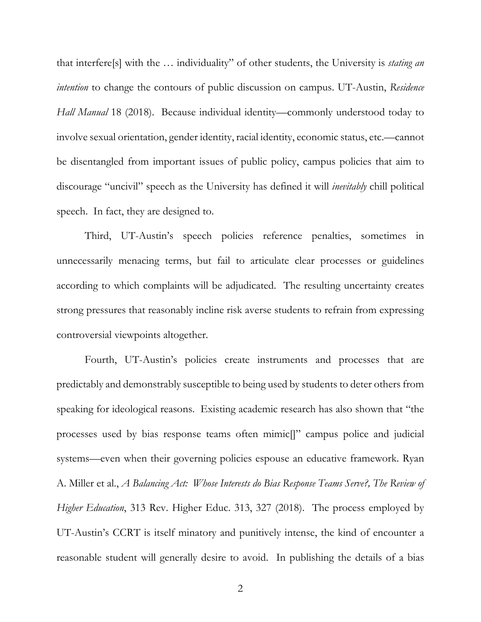that interfere[s] with the … individuality" of other students, the University is *stating an intention* to change the contours of public discussion on campus. UT-Austin, *Residence Hall Manual* 18 (2018). Because individual identity—commonly understood today to involve sexual orientation, gender identity, racial identity, economic status, etc.—cannot be disentangled from important issues of public policy, campus policies that aim to discourage "uncivil" speech as the University has defined it will *inevitably* chill political speech. In fact, they are designed to.

Third, UT-Austin's speech policies reference penalties, sometimes in unnecessarily menacing terms, but fail to articulate clear processes or guidelines according to which complaints will be adjudicated. The resulting uncertainty creates strong pressures that reasonably incline risk averse students to refrain from expressing controversial viewpoints altogether.

Fourth, UT-Austin's policies create instruments and processes that are predictably and demonstrably susceptible to being used by students to deter others from speaking for ideological reasons. Existing academic research has also shown that "the processes used by bias response teams often mimic[]" campus police and judicial systems—even when their governing policies espouse an educative framework. Ryan A. Miller et al., *A Balancing Act: Whose Interests do Bias Response Teams Serve?, The Review of Higher Education*, 313 Rev. Higher Educ. 313, 327 (2018). The process employed by UT-Austin's CCRT is itself minatory and punitively intense, the kind of encounter a reasonable student will generally desire to avoid. In publishing the details of a bias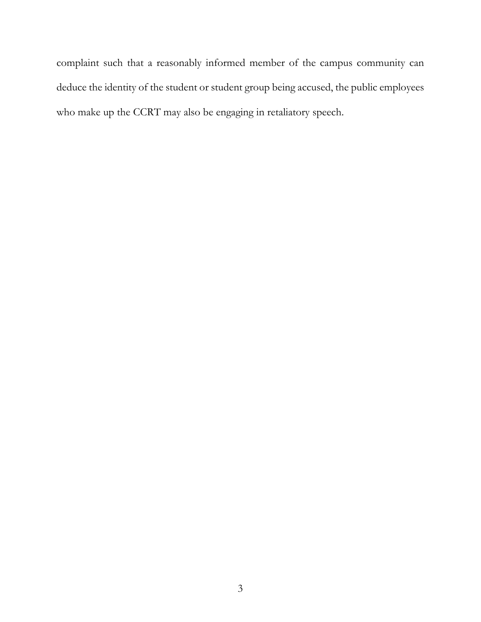complaint such that a reasonably informed member of the campus community can deduce the identity of the student or student group being accused, the public employees who make up the CCRT may also be engaging in retaliatory speech.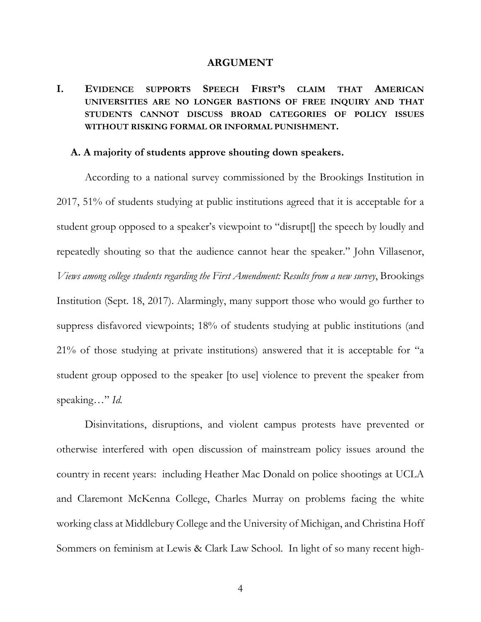#### **ARGUMENT**

## **I. EVIDENCE SUPPORTS SPEECH FIRST'S CLAIM THAT AMERICAN UNIVERSITIES ARE NO LONGER BASTIONS OF FREE INQUIRY AND THAT STUDENTS CANNOT DISCUSS BROAD CATEGORIES OF POLICY ISSUES WITHOUT RISKING FORMAL OR INFORMAL PUNISHMENT.**

#### **A. A majority of students approve shouting down speakers.**

According to a national survey commissioned by the Brookings Institution in 2017, 51% of students studying at public institutions agreed that it is acceptable for a student group opposed to a speaker's viewpoint to "disrupt[] the speech by loudly and repeatedly shouting so that the audience cannot hear the speaker." John Villasenor, *Views among college students regarding the First Amendment: Results from a new survey*, Brookings Institution (Sept. 18, 2017). Alarmingly, many support those who would go further to suppress disfavored viewpoints; 18% of students studying at public institutions (and 21% of those studying at private institutions) answered that it is acceptable for "a student group opposed to the speaker [to use] violence to prevent the speaker from speaking…" *Id.*

Disinvitations, disruptions, and violent campus protests have prevented or otherwise interfered with open discussion of mainstream policy issues around the country in recent years: including Heather Mac Donald on police shootings at UCLA and Claremont McKenna College, Charles Murray on problems facing the white working class at Middlebury College and the University of Michigan, and Christina Hoff Sommers on feminism at Lewis & Clark Law School. In light of so many recent high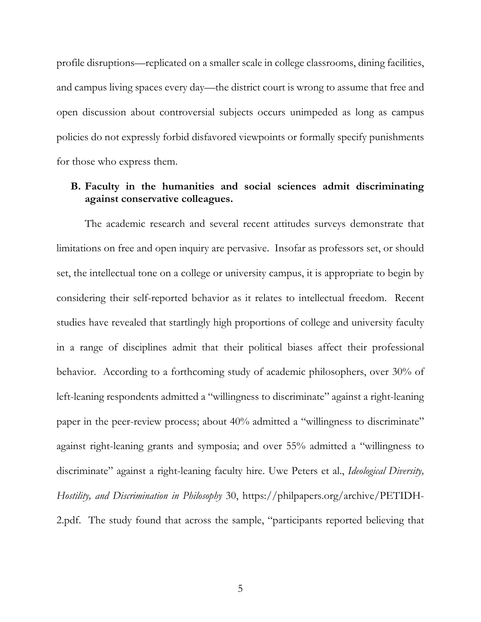profile disruptions—replicated on a smaller scale in college classrooms, dining facilities, and campus living spaces every day—the district court is wrong to assume that free and open discussion about controversial subjects occurs unimpeded as long as campus policies do not expressly forbid disfavored viewpoints or formally specify punishments for those who express them.

### **B. Faculty in the humanities and social sciences admit discriminating against conservative colleagues.**

The academic research and several recent attitudes surveys demonstrate that limitations on free and open inquiry are pervasive. Insofar as professors set, or should set, the intellectual tone on a college or university campus, it is appropriate to begin by considering their self-reported behavior as it relates to intellectual freedom. Recent studies have revealed that startlingly high proportions of college and university faculty in a range of disciplines admit that their political biases affect their professional behavior. According to a forthcoming study of academic philosophers, over 30% of left-leaning respondents admitted a "willingness to discriminate" against a right-leaning paper in the peer-review process; about 40% admitted a "willingness to discriminate" against right-leaning grants and symposia; and over 55% admitted a "willingness to discriminate" against a right-leaning faculty hire. Uwe Peters et al., *Ideological Diversity, Hostility, and Discrimination in Philosophy* 30, https://philpapers.org/archive/PETIDH-2.pdf. The study found that across the sample, "participants reported believing that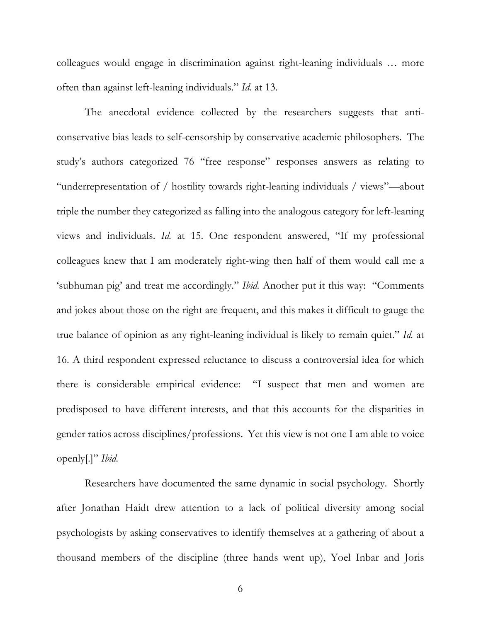colleagues would engage in discrimination against right-leaning individuals … more often than against left-leaning individuals." *Id*. at 13.

The anecdotal evidence collected by the researchers suggests that anticonservative bias leads to self-censorship by conservative academic philosophers. The study's authors categorized 76 "free response" responses answers as relating to "underrepresentation of / hostility towards right-leaning individuals / views"—about triple the number they categorized as falling into the analogous category for left-leaning views and individuals. *Id.* at 15. One respondent answered, "If my professional colleagues knew that I am moderately right-wing then half of them would call me a 'subhuman pig' and treat me accordingly." *Ibid.* Another put it this way: "Comments and jokes about those on the right are frequent, and this makes it difficult to gauge the true balance of opinion as any right-leaning individual is likely to remain quiet." *Id.* at 16. A third respondent expressed reluctance to discuss a controversial idea for which there is considerable empirical evidence: "I suspect that men and women are predisposed to have different interests, and that this accounts for the disparities in gender ratios across disciplines/professions. Yet this view is not one I am able to voice openly[.]" *Ibid.* 

Researchers have documented the same dynamic in social psychology. Shortly after Jonathan Haidt drew attention to a lack of political diversity among social psychologists by asking conservatives to identify themselves at a gathering of about a thousand members of the discipline (three hands went up), Yoel Inbar and Joris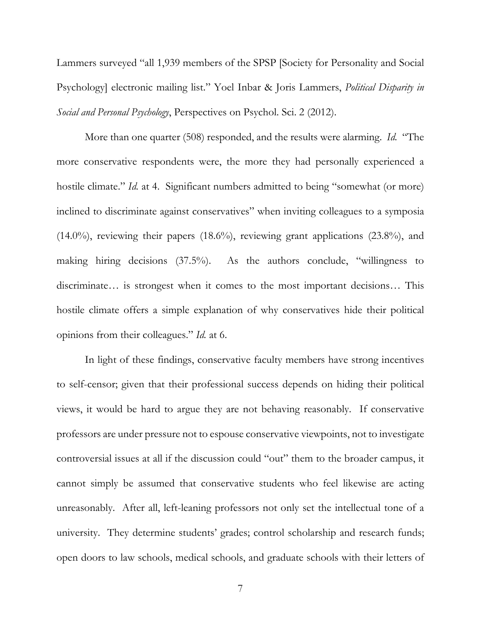Lammers surveyed "all 1,939 members of the SPSP [Society for Personality and Social Psychology] electronic mailing list." Yoel Inbar & Joris Lammers, *Political Disparity in Social and Personal Psychology*, Perspectives on Psychol. Sci. 2 (2012).

More than one quarter (508) responded, and the results were alarming. *Id.* "The more conservative respondents were, the more they had personally experienced a hostile climate." *Id.* at 4. Significant numbers admitted to being "somewhat (or more) inclined to discriminate against conservatives" when inviting colleagues to a symposia (14.0%), reviewing their papers (18.6%), reviewing grant applications (23.8%), and making hiring decisions (37.5%). As the authors conclude, "willingness to discriminate… is strongest when it comes to the most important decisions… This hostile climate offers a simple explanation of why conservatives hide their political opinions from their colleagues." *Id.* at 6.

In light of these findings, conservative faculty members have strong incentives to self-censor; given that their professional success depends on hiding their political views, it would be hard to argue they are not behaving reasonably. If conservative professors are under pressure not to espouse conservative viewpoints, not to investigate controversial issues at all if the discussion could "out" them to the broader campus, it cannot simply be assumed that conservative students who feel likewise are acting unreasonably. After all, left-leaning professors not only set the intellectual tone of a university. They determine students' grades; control scholarship and research funds; open doors to law schools, medical schools, and graduate schools with their letters of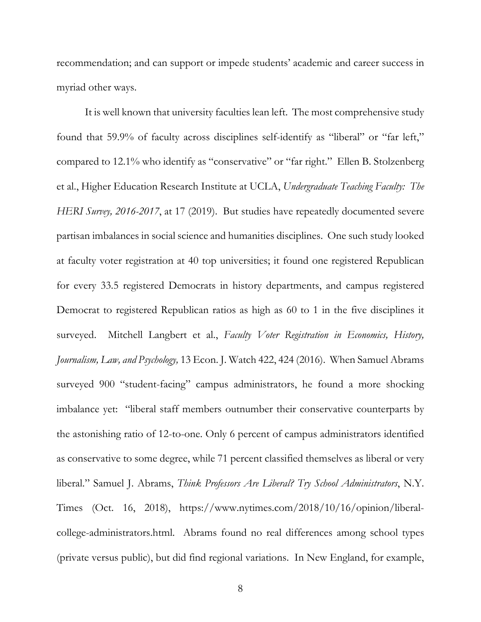recommendation; and can support or impede students' academic and career success in myriad other ways.

It is well known that university faculties lean left. The most comprehensive study found that 59.9% of faculty across disciplines self-identify as "liberal" or "far left," compared to 12.1% who identify as "conservative" or "far right." Ellen B. Stolzenberg et al., Higher Education Research Institute at UCLA, *Undergraduate Teaching Faculty: The HERI Survey, 2016-2017*, at 17 (2019). But studies have repeatedly documented severe partisan imbalances in social science and humanities disciplines. One such study looked at faculty voter registration at 40 top universities; it found one registered Republican for every 33.5 registered Democrats in history departments, and campus registered Democrat to registered Republican ratios as high as 60 to 1 in the five disciplines it surveyed. Mitchell Langbert et al., *Faculty Voter Registration in Economics, History, Journalism, Law, and Psychology,* 13 Econ. J. Watch 422, 424 (2016). When Samuel Abrams surveyed 900 "student-facing" campus administrators, he found a more shocking imbalance yet: "liberal staff members outnumber their conservative counterparts by the astonishing ratio of 12-to-one. Only 6 percent of campus administrators identified as conservative to some degree, while 71 percent classified themselves as liberal or very liberal." Samuel J. Abrams, *Think Professors Are Liberal? Try School Administrators*, N.Y. Times (Oct. 16, 2018), https://www.nytimes.com/2018/10/16/opinion/liberalcollege-administrators.html. Abrams found no real differences among school types (private versus public), but did find regional variations. In New England, for example,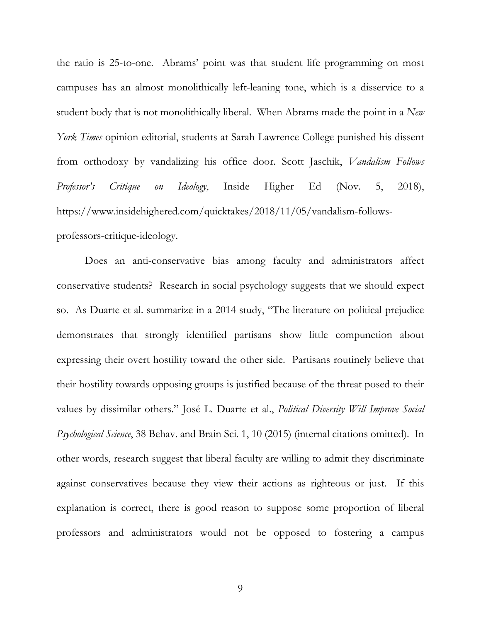the ratio is 25-to-one. Abrams' point was that student life programming on most campuses has an almost monolithically left-leaning tone, which is a disservice to a student body that is not monolithically liberal. When Abrams made the point in a *New York Times* opinion editorial, students at Sarah Lawrence College punished his dissent from orthodoxy by vandalizing his office door. Scott Jaschik, *Vandalism Follows Professor's Critique on Ideology*, Inside Higher Ed (Nov. 5, 2018), https://www.insidehighered.com/quicktakes/2018/11/05/vandalism-followsprofessors-critique-ideology.

Does an anti-conservative bias among faculty and administrators affect conservative students? Research in social psychology suggests that we should expect so. As Duarte et al. summarize in a 2014 study, "The literature on political prejudice demonstrates that strongly identified partisans show little compunction about expressing their overt hostility toward the other side. Partisans routinely believe that their hostility towards opposing groups is justified because of the threat posed to their values by dissimilar others." José L. Duarte et al., *Political Diversity Will Improve Social Psychological Science*, 38 Behav. and Brain Sci. 1, 10 (2015) (internal citations omitted). In other words, research suggest that liberal faculty are willing to admit they discriminate against conservatives because they view their actions as righteous or just. If this explanation is correct, there is good reason to suppose some proportion of liberal professors and administrators would not be opposed to fostering a campus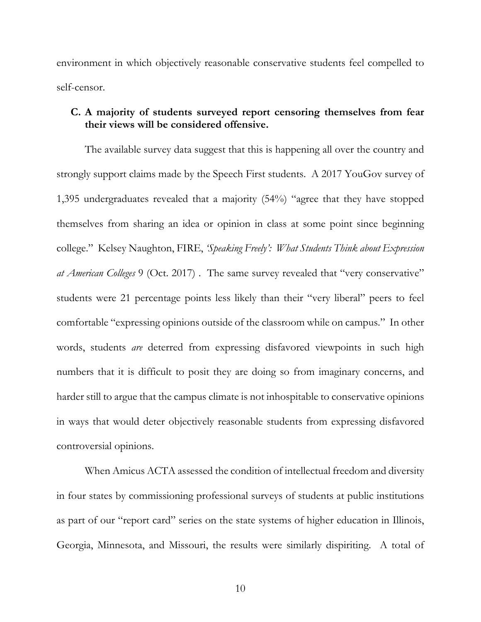environment in which objectively reasonable conservative students feel compelled to self-censor.

### **C. A majority of students surveyed report censoring themselves from fear their views will be considered offensive.**

The available survey data suggest that this is happening all over the country and strongly support claims made by the Speech First students. A 2017 YouGov survey of 1,395 undergraduates revealed that a majority (54%) "agree that they have stopped themselves from sharing an idea or opinion in class at some point since beginning college." Kelsey Naughton, FIRE, *'Speaking Freely': What Students Think about Expression at American Colleges* 9 (Oct. 2017) . The same survey revealed that "very conservative" students were 21 percentage points less likely than their "very liberal" peers to feel comfortable "expressing opinions outside of the classroom while on campus." In other words, students *are* deterred from expressing disfavored viewpoints in such high numbers that it is difficult to posit they are doing so from imaginary concerns, and harder still to argue that the campus climate is not inhospitable to conservative opinions in ways that would deter objectively reasonable students from expressing disfavored controversial opinions.

When Amicus ACTA assessed the condition of intellectual freedom and diversity in four states by commissioning professional surveys of students at public institutions as part of our "report card" series on the state systems of higher education in Illinois, Georgia, Minnesota, and Missouri, the results were similarly dispiriting. A total of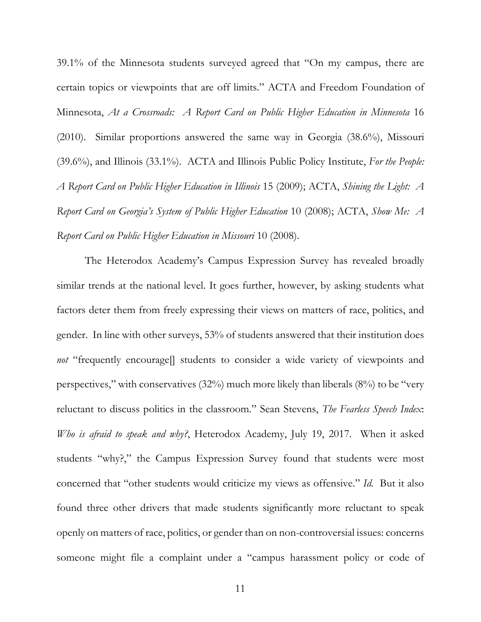39.1% of the Minnesota students surveyed agreed that "On my campus, there are certain topics or viewpoints that are off limits." ACTA and Freedom Foundation of Minnesota, *At a Crossroads: A Report Card on Public Higher Education in Minnesota* 16 (2010). Similar proportions answered the same way in Georgia (38.6%), Missouri (39.6%), and Illinois (33.1%). ACTA and Illinois Public Policy Institute, *For the People: A Report Card on Public Higher Education in Illinois* 15 (2009); ACTA, *Shining the Light: A Report Card on Georgia's System of Public Higher Education* 10 (2008); ACTA, *Show Me: A Report Card on Public Higher Education in Missouri* 10 (2008).

The Heterodox Academy's Campus Expression Survey has revealed broadly similar trends at the national level. It goes further, however, by asking students what factors deter them from freely expressing their views on matters of race, politics, and gender. In line with other surveys, 53% of students answered that their institution does *not* "frequently encourage<sup>[]</sup> students to consider a wide variety of viewpoints and perspectives," with conservatives (32%) much more likely than liberals (8%) to be "very reluctant to discuss politics in the classroom." Sean Stevens, *The Fearless Speech Index*: *Who is afraid to speak and why?*, Heterodox Academy, July 19, 2017. When it asked students "why?," the Campus Expression Survey found that students were most concerned that "other students would criticize my views as offensive." *Id.* But it also found three other drivers that made students significantly more reluctant to speak openly on matters of race, politics, or gender than on non-controversial issues: concerns someone might file a complaint under a "campus harassment policy or code of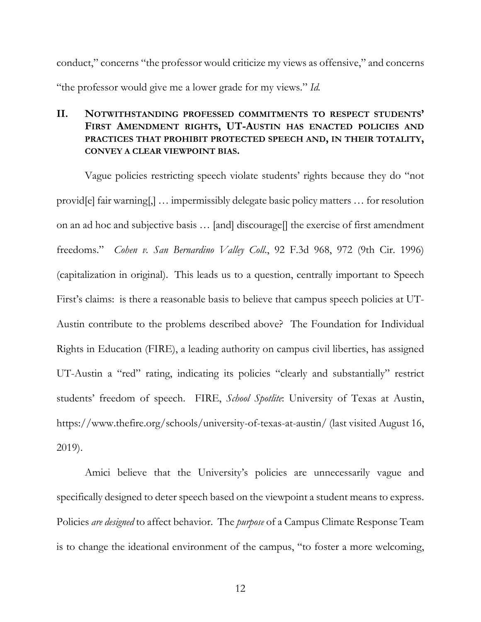conduct," concerns "the professor would criticize my views as offensive," and concerns "the professor would give me a lower grade for my views." *Id.* 

## **II. NOTWITHSTANDING PROFESSED COMMITMENTS TO RESPECT STUDENTS' FIRST AMENDMENT RIGHTS, UT-AUSTIN HAS ENACTED POLICIES AND PRACTICES THAT PROHIBIT PROTECTED SPEECH AND, IN THEIR TOTALITY, CONVEY A CLEAR VIEWPOINT BIAS.**

Vague policies restricting speech violate students' rights because they do "not provid[e] fair warning[,] … impermissibly delegate basic policy matters … for resolution on an ad hoc and subjective basis … [and] discourage[] the exercise of first amendment freedoms." *Cohen v. San Bernardino Valley Coll*., 92 F.3d 968, 972 (9th Cir. 1996) (capitalization in original). This leads us to a question, centrally important to Speech First's claims: is there a reasonable basis to believe that campus speech policies at UT-Austin contribute to the problems described above? The Foundation for Individual Rights in Education (FIRE), a leading authority on campus civil liberties, has assigned UT-Austin a "red" rating, indicating its policies "clearly and substantially" restrict students' freedom of speech. FIRE, *School Spotlite*: University of Texas at Austin, https://www.thefire.org/schools/university-of-texas-at-austin/ (last visited August 16, 2019).

Amici believe that the University's policies are unnecessarily vague and specifically designed to deter speech based on the viewpoint a student means to express. Policies *are designed* to affect behavior. The *purpose* of a Campus Climate Response Team is to change the ideational environment of the campus, "to foster a more welcoming,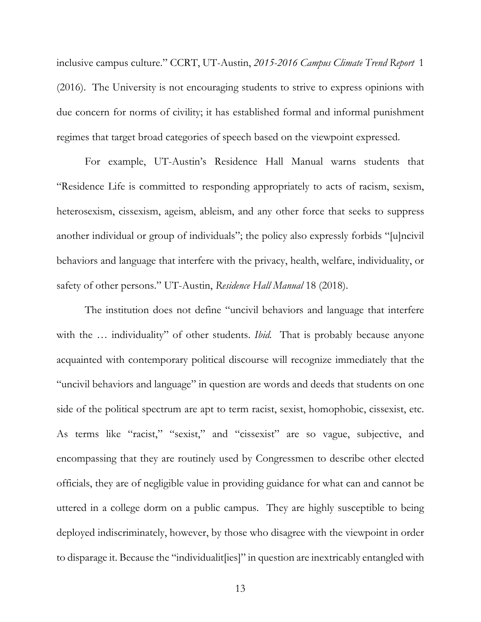inclusive campus culture." CCRT, UT-Austin, *2015-2016 Campus Climate Trend Report* 1 (2016). The University is not encouraging students to strive to express opinions with due concern for norms of civility; it has established formal and informal punishment regimes that target broad categories of speech based on the viewpoint expressed.

For example, UT-Austin's Residence Hall Manual warns students that "Residence Life is committed to responding appropriately to acts of racism, sexism, heterosexism, cissexism, ageism, ableism, and any other force that seeks to suppress another individual or group of individuals"; the policy also expressly forbids "[u]ncivil behaviors and language that interfere with the privacy, health, welfare, individuality, or safety of other persons." UT-Austin, *Residence Hall Manual* 18 (2018).

The institution does not define "uncivil behaviors and language that interfere with the ... individuality" of other students. *Ibid.* That is probably because anyone acquainted with contemporary political discourse will recognize immediately that the "uncivil behaviors and language" in question are words and deeds that students on one side of the political spectrum are apt to term racist, sexist, homophobic, cissexist, etc. As terms like "racist," "sexist," and "cissexist" are so vague, subjective, and encompassing that they are routinely used by Congressmen to describe other elected officials, they are of negligible value in providing guidance for what can and cannot be uttered in a college dorm on a public campus. They are highly susceptible to being deployed indiscriminately, however, by those who disagree with the viewpoint in order to disparage it. Because the "individualit[ies]" in question are inextricably entangled with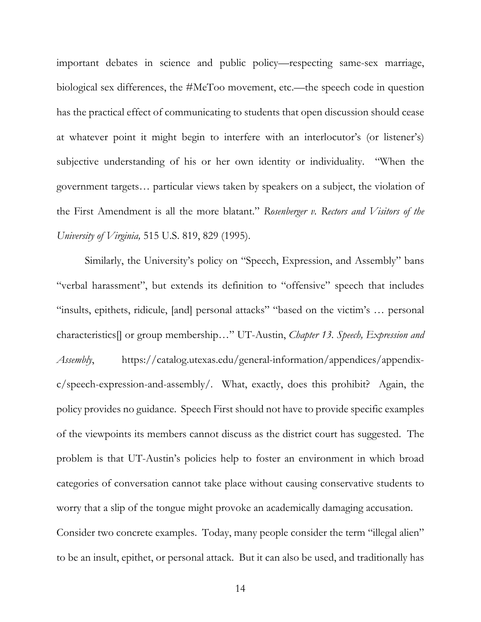important debates in science and public policy—respecting same-sex marriage, biological sex differences, the #MeToo movement, etc.—the speech code in question has the practical effect of communicating to students that open discussion should cease at whatever point it might begin to interfere with an interlocutor's (or listener's) subjective understanding of his or her own identity or individuality. "When the government targets… particular views taken by speakers on a subject, the violation of the First Amendment is all the more blatant." *Rosenberger v. Rectors and Visitors of the University of Virginia,* 515 U.S. 819, 829 (1995).

Similarly, the University's policy on "Speech, Expression, and Assembly" bans "verbal harassment", but extends its definition to "offensive" speech that includes "insults, epithets, ridicule, [and] personal attacks" "based on the victim's … personal characteristics[] or group membership…" UT-Austin, *Chapter 13. Speech, Expression and Assembly*, https://catalog.utexas.edu/general-information/appendices/appendixc/speech-expression-and-assembly/. What, exactly, does this prohibit? Again, the policy provides no guidance. Speech First should not have to provide specific examples of the viewpoints its members cannot discuss as the district court has suggested. The problem is that UT-Austin's policies help to foster an environment in which broad categories of conversation cannot take place without causing conservative students to worry that a slip of the tongue might provoke an academically damaging accusation. Consider two concrete examples. Today, many people consider the term "illegal alien" to be an insult, epithet, or personal attack. But it can also be used, and traditionally has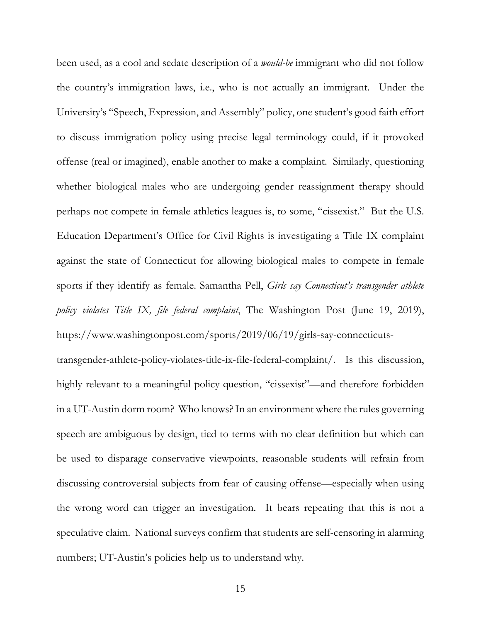been used, as a cool and sedate description of a *would-be* immigrant who did not follow the country's immigration laws, i.e., who is not actually an immigrant. Under the University's "Speech, Expression, and Assembly" policy, one student's good faith effort to discuss immigration policy using precise legal terminology could, if it provoked offense (real or imagined), enable another to make a complaint. Similarly, questioning whether biological males who are undergoing gender reassignment therapy should perhaps not compete in female athletics leagues is, to some, "cissexist." But the U.S. Education Department's Office for Civil Rights is investigating a Title IX complaint against the state of Connecticut for allowing biological males to compete in female sports if they identify as female. Samantha Pell, *Girls say Connecticut's transgender athlete policy violates Title IX, file federal complaint*, The Washington Post (June 19, 2019), https://www.washingtonpost.com/sports/2019/06/19/girls-say-connecticuts-

transgender-athlete-policy-violates-title-ix-file-federal-complaint/. Is this discussion, highly relevant to a meaningful policy question, "cissexist"—and therefore forbidden in a UT-Austin dorm room? Who knows? In an environment where the rules governing speech are ambiguous by design, tied to terms with no clear definition but which can be used to disparage conservative viewpoints, reasonable students will refrain from discussing controversial subjects from fear of causing offense—especially when using the wrong word can trigger an investigation. It bears repeating that this is not a speculative claim. National surveys confirm that students are self-censoring in alarming numbers; UT-Austin's policies help us to understand why.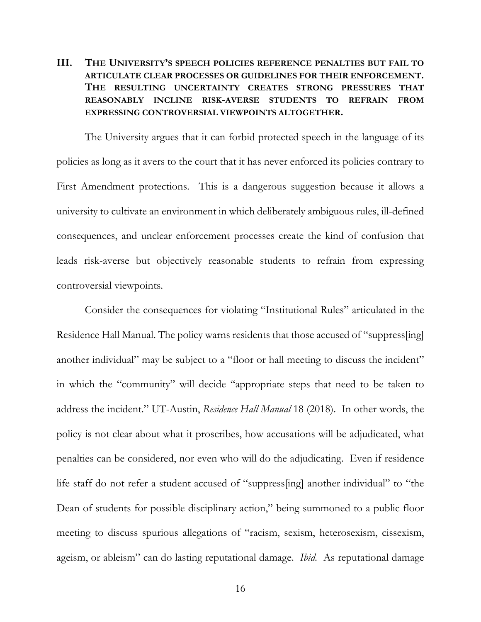# **III. THE UNIVERSITY'S SPEECH POLICIES REFERENCE PENALTIES BUT FAIL TO ARTICULATE CLEAR PROCESSES OR GUIDELINES FOR THEIR ENFORCEMENT. THE RESULTING UNCERTAINTY CREATES STRONG PRESSURES THAT REASONABLY INCLINE RISK-AVERSE STUDENTS TO REFRAIN FROM EXPRESSING CONTROVERSIAL VIEWPOINTS ALTOGETHER.**

The University argues that it can forbid protected speech in the language of its policies as long as it avers to the court that it has never enforced its policies contrary to First Amendment protections. This is a dangerous suggestion because it allows a university to cultivate an environment in which deliberately ambiguous rules, ill-defined consequences, and unclear enforcement processes create the kind of confusion that leads risk-averse but objectively reasonable students to refrain from expressing controversial viewpoints.

Consider the consequences for violating "Institutional Rules" articulated in the Residence Hall Manual. The policy warns residents that those accused of "suppress[ing] another individual" may be subject to a "floor or hall meeting to discuss the incident" in which the "community" will decide "appropriate steps that need to be taken to address the incident." UT-Austin, *Residence Hall Manual* 18 (2018). In other words, the policy is not clear about what it proscribes, how accusations will be adjudicated, what penalties can be considered, nor even who will do the adjudicating. Even if residence life staff do not refer a student accused of "suppress[ing] another individual" to "the Dean of students for possible disciplinary action," being summoned to a public floor meeting to discuss spurious allegations of "racism, sexism, heterosexism, cissexism, ageism, or ableism" can do lasting reputational damage. *Ibid.* As reputational damage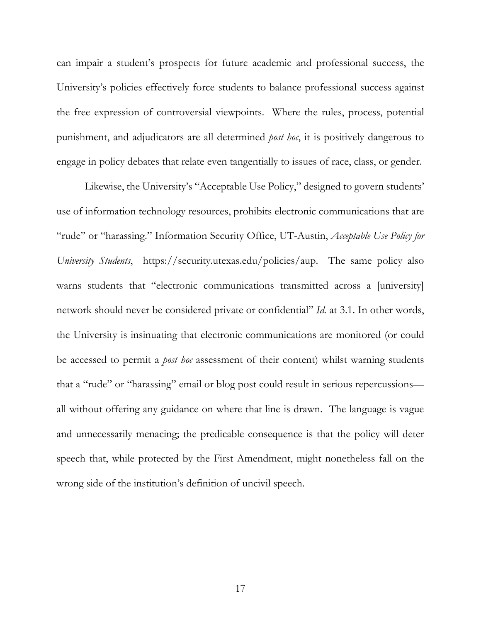can impair a student's prospects for future academic and professional success, the University's policies effectively force students to balance professional success against the free expression of controversial viewpoints. Where the rules, process, potential punishment, and adjudicators are all determined *post hoc*, it is positively dangerous to engage in policy debates that relate even tangentially to issues of race, class, or gender.

Likewise, the University's "Acceptable Use Policy," designed to govern students' use of information technology resources, prohibits electronic communications that are "rude" or "harassing." Information Security Office, UT-Austin, *Acceptable Use Policy for University Students*, https://security.utexas.edu/policies/aup. The same policy also warns students that "electronic communications transmitted across a [university] network should never be considered private or confidential" *Id.* at 3.1. In other words, the University is insinuating that electronic communications are monitored (or could be accessed to permit a *post hoc* assessment of their content) whilst warning students that a "rude" or "harassing" email or blog post could result in serious repercussions all without offering any guidance on where that line is drawn. The language is vague and unnecessarily menacing; the predicable consequence is that the policy will deter speech that, while protected by the First Amendment, might nonetheless fall on the wrong side of the institution's definition of uncivil speech.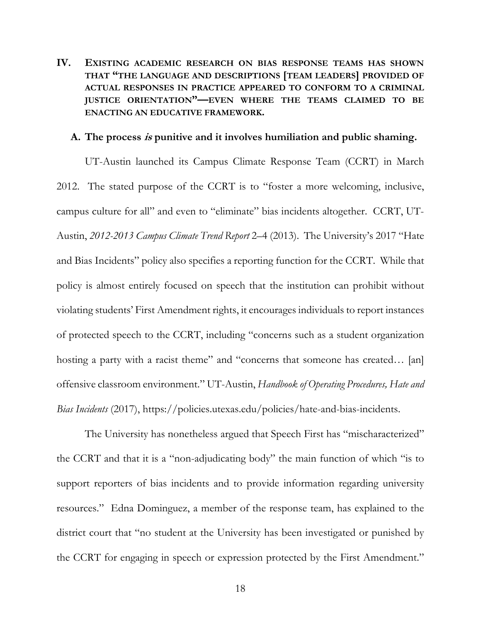## **IV. EXISTING ACADEMIC RESEARCH ON BIAS RESPONSE TEAMS HAS SHOWN THAT "THE LANGUAGE AND DESCRIPTIONS [TEAM LEADERS] PROVIDED OF ACTUAL RESPONSES IN PRACTICE APPEARED TO CONFORM TO A CRIMINAL JUSTICE ORIENTATION"—EVEN WHERE THE TEAMS CLAIMED TO BE ENACTING AN EDUCATIVE FRAMEWORK.**

#### **A. The process is punitive and it involves humiliation and public shaming.**

UT-Austin launched its Campus Climate Response Team (CCRT) in March 2012. The stated purpose of the CCRT is to "foster a more welcoming, inclusive, campus culture for all" and even to "eliminate" bias incidents altogether. CCRT, UT-Austin, *2012-2013 Campus Climate Trend Report* 2–4 (2013). The University's 2017 "Hate and Bias Incidents" policy also specifies a reporting function for the CCRT. While that policy is almost entirely focused on speech that the institution can prohibit without violating students' First Amendment rights, it encourages individuals to report instances of protected speech to the CCRT, including "concerns such as a student organization hosting a party with a racist theme" and "concerns that someone has created... [an] offensive classroom environment." UT-Austin, *Handbook of Operating Procedures, Hate and Bias Incidents* (2017), https://policies.utexas.edu/policies/hate-and-bias-incidents.

The University has nonetheless argued that Speech First has "mischaracterized" the CCRT and that it is a "non-adjudicating body" the main function of which "is to support reporters of bias incidents and to provide information regarding university resources." Edna Dominguez, a member of the response team, has explained to the district court that "no student at the University has been investigated or punished by the CCRT for engaging in speech or expression protected by the First Amendment."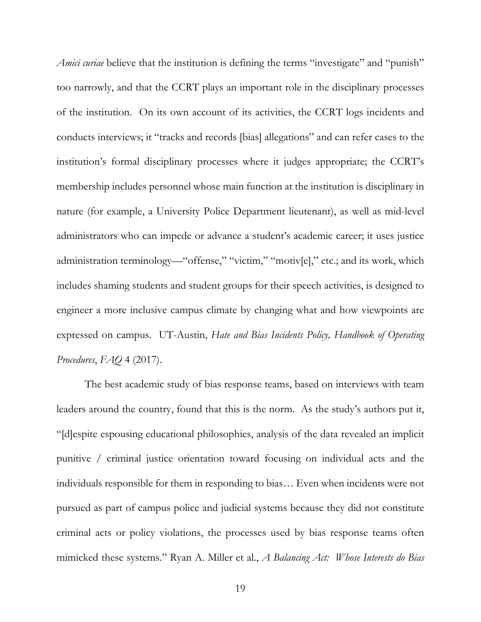*Amici curiae* believe that the institution is defining the terms "investigate" and "punish" too narrowly, and that the CCRT plays an important role in the disciplinary processes of the institution. On its own account of its activities, the CCRT logs incidents and conducts interviews; it "tracks and records [bias] allegations" and can refer cases to the institution's formal disciplinary processes where it judges appropriate; the CCRT's membership includes personnel whose main function at the institution is disciplinary in nature (for example, a University Police Department lieutenant), as well as mid-level administrators who can impede or advance a student's academic career; it uses justice administration terminology—"offense," "victim," "motiv[e]," etc.; and its work, which includes shaming students and student groups for their speech activities, is designed to engineer a more inclusive campus climate by changing what and how viewpoints are expressed on campus. UT-Austin, *Hate and Bias Incidents Policy, Handbook of Operating Procedures*, *FAQ* 4 (2017).

The best academic study of bias response teams, based on interviews with team leaders around the country, found that this is the norm. As the study's authors put it, "[d]espite espousing educational philosophies, analysis of the data revealed an implicit punitive / criminal justice orientation toward focusing on individual acts and the individuals responsible for them in responding to bias… Even when incidents were not pursued as part of campus police and judicial systems because they did not constitute criminal acts or policy violations, the processes used by bias response teams often mimicked these systems." Ryan A. Miller et al., *A Balancing Act: Whose Interests do Bias*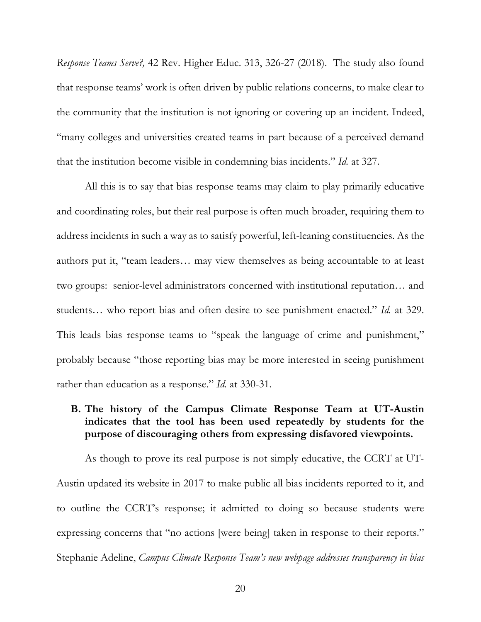*Response Teams Serve?,* 42 Rev. Higher Educ. 313, 326-27 (2018). The study also found that response teams' work is often driven by public relations concerns, to make clear to the community that the institution is not ignoring or covering up an incident. Indeed, "many colleges and universities created teams in part because of a perceived demand that the institution become visible in condemning bias incidents." *Id.* at 327.

All this is to say that bias response teams may claim to play primarily educative and coordinating roles, but their real purpose is often much broader, requiring them to address incidents in such a way as to satisfy powerful, left-leaning constituencies. As the authors put it, "team leaders… may view themselves as being accountable to at least two groups: senior-level administrators concerned with institutional reputation… and students… who report bias and often desire to see punishment enacted." *Id.* at 329. This leads bias response teams to "speak the language of crime and punishment," probably because "those reporting bias may be more interested in seeing punishment rather than education as a response." *Id.* at 330-31.

### **B. The history of the Campus Climate Response Team at UT-Austin indicates that the tool has been used repeatedly by students for the purpose of discouraging others from expressing disfavored viewpoints.**

As though to prove its real purpose is not simply educative, the CCRT at UT-Austin updated its website in 2017 to make public all bias incidents reported to it, and to outline the CCRT's response; it admitted to doing so because students were expressing concerns that "no actions [were being] taken in response to their reports." Stephanie Adeline, *Campus Climate Response Team's new webpage addresses transparency in bias*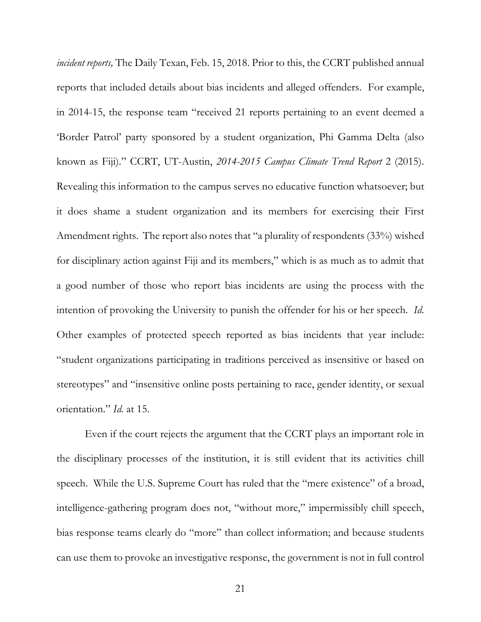*incident reports,* The Daily Texan, Feb. 15, 2018. Prior to this, the CCRT published annual reports that included details about bias incidents and alleged offenders. For example, in 2014-15, the response team "received 21 reports pertaining to an event deemed a 'Border Patrol' party sponsored by a student organization, Phi Gamma Delta (also known as Fiji)." CCRT, UT-Austin, *2014-2015 Campus Climate Trend Report* 2 (2015). Revealing this information to the campus serves no educative function whatsoever; but it does shame a student organization and its members for exercising their First Amendment rights. The report also notes that "a plurality of respondents (33%) wished for disciplinary action against Fiji and its members," which is as much as to admit that a good number of those who report bias incidents are using the process with the intention of provoking the University to punish the offender for his or her speech. *Id*. Other examples of protected speech reported as bias incidents that year include: "student organizations participating in traditions perceived as insensitive or based on stereotypes" and "insensitive online posts pertaining to race, gender identity, or sexual orientation." *Id.* at 15.

Even if the court rejects the argument that the CCRT plays an important role in the disciplinary processes of the institution, it is still evident that its activities chill speech. While the U.S. Supreme Court has ruled that the "mere existence" of a broad, intelligence-gathering program does not, "without more," impermissibly chill speech, bias response teams clearly do "more" than collect information; and because students can use them to provoke an investigative response, the government is not in full control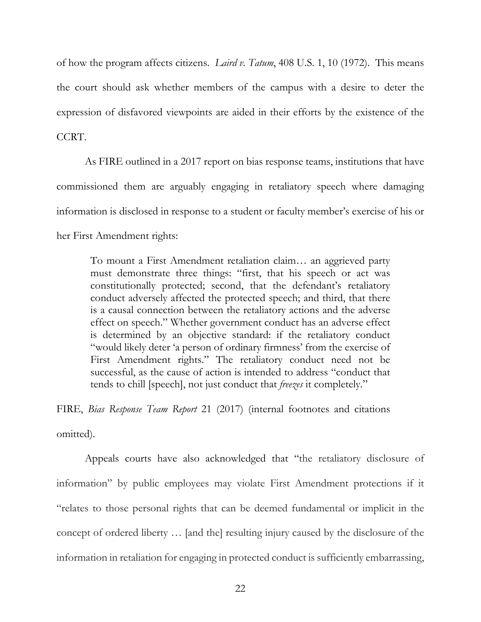of how the program affects citizens. *Laird v. Tatum*, 408 U.S. 1, 10 (1972). This means the court should ask whether members of the campus with a desire to deter the expression of disfavored viewpoints are aided in their efforts by the existence of the CCRT.

As FIRE outlined in a 2017 report on bias response teams, institutions that have commissioned them are arguably engaging in retaliatory speech where damaging information is disclosed in response to a student or faculty member's exercise of his or her First Amendment rights:

To mount a First Amendment retaliation claim… an aggrieved party must demonstrate three things: "first, that his speech or act was constitutionally protected; second, that the defendant's retaliatory conduct adversely affected the protected speech; and third, that there is a causal connection between the retaliatory actions and the adverse effect on speech." Whether government conduct has an adverse effect is determined by an objective standard: if the retaliatory conduct "would likely deter 'a person of ordinary firmness' from the exercise of First Amendment rights." The retaliatory conduct need not be successful, as the cause of action is intended to address "conduct that tends to chill [speech], not just conduct that *freezes* it completely."

FIRE, *Bias Response Team Report* 21 (2017) (internal footnotes and citations omitted).

Appeals courts have also acknowledged that "the retaliatory disclosure of information" by public employees may violate First Amendment protections if it "relates to those personal rights that can be deemed fundamental or implicit in the concept of ordered liberty … [and the] resulting injury caused by the disclosure of the information in retaliation for engaging in protected conduct is sufficiently embarrassing,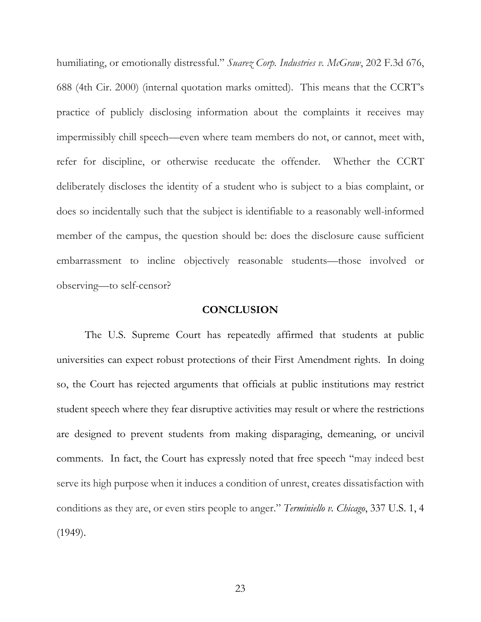humiliating, or emotionally distressful." *Suarez Corp. Industries v. McGraw*, 202 F.3d 676, 688 (4th Cir. 2000) (internal quotation marks omitted). This means that the CCRT's practice of publicly disclosing information about the complaints it receives may impermissibly chill speech—even where team members do not, or cannot, meet with, refer for discipline, or otherwise reeducate the offender. Whether the CCRT deliberately discloses the identity of a student who is subject to a bias complaint, or does so incidentally such that the subject is identifiable to a reasonably well-informed member of the campus, the question should be: does the disclosure cause sufficient embarrassment to incline objectively reasonable students—those involved or observing—to self-censor?

#### **CONCLUSION**

The U.S. Supreme Court has repeatedly affirmed that students at public universities can expect robust protections of their First Amendment rights. In doing so, the Court has rejected arguments that officials at public institutions may restrict student speech where they fear disruptive activities may result or where the restrictions are designed to prevent students from making disparaging, demeaning, or uncivil comments. In fact, the Court has expressly noted that free speech "may indeed best serve its high purpose when it induces a condition of unrest, creates dissatisfaction with conditions as they are, or even stirs people to anger." *Terminiello v. Chicago*, 337 U.S. 1, 4 (1949).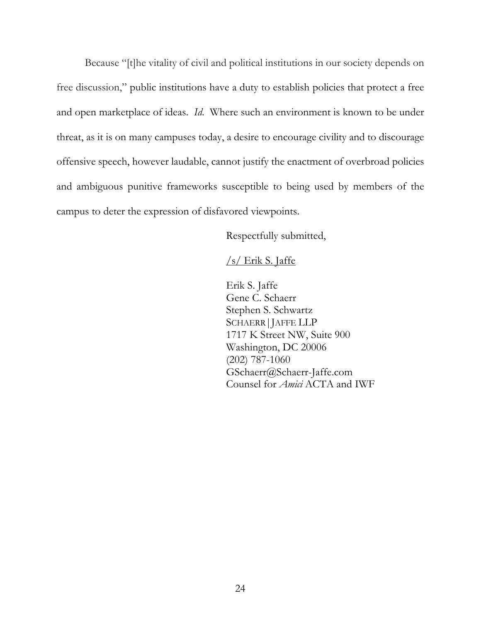Because "[t]he vitality of civil and political institutions in our society depends on free discussion," public institutions have a duty to establish policies that protect a free and open marketplace of ideas. *Id*. Where such an environment is known to be under threat, as it is on many campuses today, a desire to encourage civility and to discourage offensive speech, however laudable, cannot justify the enactment of overbroad policies and ambiguous punitive frameworks susceptible to being used by members of the campus to deter the expression of disfavored viewpoints.

Respectfully submitted,

#### $/s/$  Erik S. Jaffe

Erik S. Jaffe Gene C. Schaerr Stephen S. Schwartz SCHAERR|JAFFE LLP 1717 K Street NW, Suite 900 Washington, DC 20006 (202) 787-1060 GSchaerr@Schaerr-Jaffe.com Counsel for *Amici* ACTA and IWF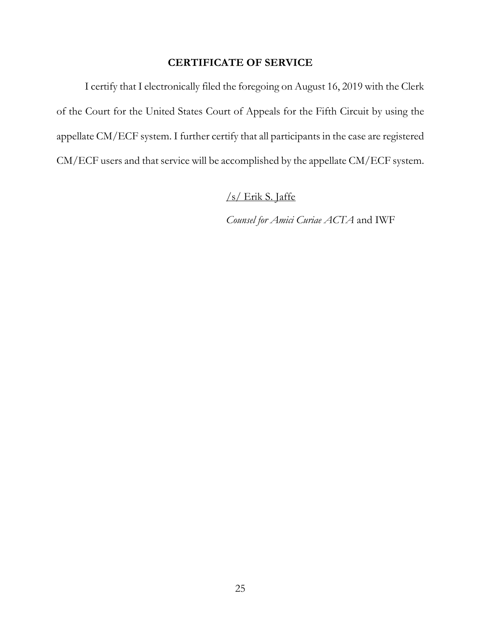# **CERTIFICATE OF SERVICE**

I certify that I electronically filed the foregoing on August 16, 2019 with the Clerk of the Court for the United States Court of Appeals for the Fifth Circuit by using the appellate CM/ECF system. I further certify that all participants in the case are registered CM/ECF users and that service will be accomplished by the appellate CM/ECF system.

/s/ Erik S. Jaffe

*Counsel for Amici Curiae ACTA* and IWF